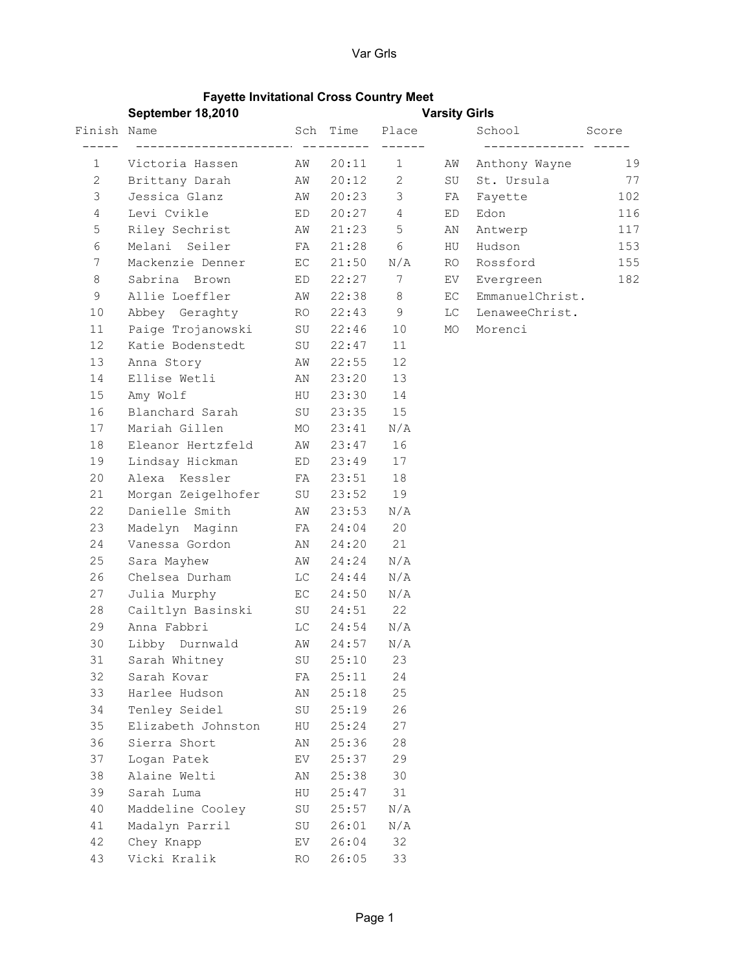## Fayette Invitational Cross Country Meet

| Sch Time Place School Score<br>Victoria Hassen MW 20:11 1 AW Anthony Wayne 19<br>1<br>Brittany Darah MW 20:12 2 SU St. Ursula 77<br>$2 \quad$<br>Jessica Glanz M 20:23 3 FA Fayette<br>3<br>102<br>$\overline{4}$<br>$20:27$ 4<br>Levi Cvikle ED<br>Edon<br>116<br>ED<br>Riley Sechrist MW 21:23 5 AN<br>5<br>Antwerp<br>117<br>Melani Seiler     FA 21:28  6   HU Hudson<br>6<br>153<br>Mackenzie Denner EC 21:50 N/A RO Rossford<br>$7\phantom{.0}$<br>155<br>Sabrina Brown ED 22:27 7 EV Evergreen<br>8<br>182<br>Allie Loeffler MW 22:38 8 EC EmmanuelChrist.<br>9<br>Abbey Geraghty RO 22:43 9 LC LenaweeChrist.<br>10<br>Paige Trojanowski SU 22:46 10 MO Morenci<br>11<br>12<br>Katie Bodenstedt SU 22:47<br>11<br>12<br>13<br>Anna Story Mark 22:55<br>Ellise Wetli MAN 23:20 13<br>14<br>HU 23:30 14<br>Amy Wolf<br>15<br>16<br>Blanchard Sarah SU 23:35 15<br>17<br>Mariah Gillen MO 23:41 N/A<br>Eleanor Hertzfeld AW 23:47 16<br>18<br>Lindsay Hickman ED 23:49<br>19<br>17<br>18<br>20<br>Alexa Kessler FA 23:51<br>19<br>21<br>Morgan Zeigelhofer SU 23:52<br>Danielle Smith MW 23:53 N/A<br>22<br>Madelyn Maginn FA 24:04 20<br>23<br>Vanessa Gordon MN 24:20 21<br>24<br>25<br>Sara Mayhew MW 24:24 N/A<br>Chelsea Durham LC 24:44 N/A<br>26<br>Julia Murphy EC 24:50 N/A<br>27<br>Cailtlyn Basinski SU 24:51 22<br>28<br>29<br>Anna Fabbri (C 24:54 N/A<br>Libby Durnwald MW 24:57 N/A<br>30<br>31<br>25:10<br>23<br>Sarah Whitney<br>SU<br>32<br>24<br>Sarah Kovar<br>25:11<br>FA<br>33<br>25<br>Harlee Hudson<br>25:18<br>ΑN<br>34<br>26<br>Tenley Seidel<br>25:19<br>SU<br>35<br>27<br>Elizabeth Johnston<br>HU<br>25:24<br>36<br>Sierra Short<br>28<br>25:36<br>ΑN<br>37<br>29<br>Logan Patek<br>25:37<br>EV<br>38<br>30<br>Alaine Welti<br>25:38<br>ΑN<br>39<br>Sarah Luma<br>31<br>HU<br>25:47<br>40<br>Maddeline Cooley<br>N/A<br>SU<br>25:57<br>Madalyn Parril<br>41<br>26:01<br>N/A<br>SU<br>42<br>32<br>26:04<br>Chey Knapp<br>EV |    | September 18,2010 | <b>Varsity Girls</b> |       |    |  |  |  |  |
|--------------------------------------------------------------------------------------------------------------------------------------------------------------------------------------------------------------------------------------------------------------------------------------------------------------------------------------------------------------------------------------------------------------------------------------------------------------------------------------------------------------------------------------------------------------------------------------------------------------------------------------------------------------------------------------------------------------------------------------------------------------------------------------------------------------------------------------------------------------------------------------------------------------------------------------------------------------------------------------------------------------------------------------------------------------------------------------------------------------------------------------------------------------------------------------------------------------------------------------------------------------------------------------------------------------------------------------------------------------------------------------------------------------------------------------------------------------------------------------------------------------------------------------------------------------------------------------------------------------------------------------------------------------------------------------------------------------------------------------------------------------------------------------------------------------------------------------------------------------------------------------------------------------------------------------------------------------|----|-------------------|----------------------|-------|----|--|--|--|--|
|                                                                                                                                                                                                                                                                                                                                                                                                                                                                                                                                                                                                                                                                                                                                                                                                                                                                                                                                                                                                                                                                                                                                                                                                                                                                                                                                                                                                                                                                                                                                                                                                                                                                                                                                                                                                                                                                                                                                                              |    |                   |                      |       |    |  |  |  |  |
|                                                                                                                                                                                                                                                                                                                                                                                                                                                                                                                                                                                                                                                                                                                                                                                                                                                                                                                                                                                                                                                                                                                                                                                                                                                                                                                                                                                                                                                                                                                                                                                                                                                                                                                                                                                                                                                                                                                                                              |    |                   |                      |       |    |  |  |  |  |
|                                                                                                                                                                                                                                                                                                                                                                                                                                                                                                                                                                                                                                                                                                                                                                                                                                                                                                                                                                                                                                                                                                                                                                                                                                                                                                                                                                                                                                                                                                                                                                                                                                                                                                                                                                                                                                                                                                                                                              |    |                   |                      |       |    |  |  |  |  |
|                                                                                                                                                                                                                                                                                                                                                                                                                                                                                                                                                                                                                                                                                                                                                                                                                                                                                                                                                                                                                                                                                                                                                                                                                                                                                                                                                                                                                                                                                                                                                                                                                                                                                                                                                                                                                                                                                                                                                              |    |                   |                      |       |    |  |  |  |  |
|                                                                                                                                                                                                                                                                                                                                                                                                                                                                                                                                                                                                                                                                                                                                                                                                                                                                                                                                                                                                                                                                                                                                                                                                                                                                                                                                                                                                                                                                                                                                                                                                                                                                                                                                                                                                                                                                                                                                                              |    |                   |                      |       |    |  |  |  |  |
|                                                                                                                                                                                                                                                                                                                                                                                                                                                                                                                                                                                                                                                                                                                                                                                                                                                                                                                                                                                                                                                                                                                                                                                                                                                                                                                                                                                                                                                                                                                                                                                                                                                                                                                                                                                                                                                                                                                                                              |    |                   |                      |       |    |  |  |  |  |
|                                                                                                                                                                                                                                                                                                                                                                                                                                                                                                                                                                                                                                                                                                                                                                                                                                                                                                                                                                                                                                                                                                                                                                                                                                                                                                                                                                                                                                                                                                                                                                                                                                                                                                                                                                                                                                                                                                                                                              |    |                   |                      |       |    |  |  |  |  |
|                                                                                                                                                                                                                                                                                                                                                                                                                                                                                                                                                                                                                                                                                                                                                                                                                                                                                                                                                                                                                                                                                                                                                                                                                                                                                                                                                                                                                                                                                                                                                                                                                                                                                                                                                                                                                                                                                                                                                              |    |                   |                      |       |    |  |  |  |  |
|                                                                                                                                                                                                                                                                                                                                                                                                                                                                                                                                                                                                                                                                                                                                                                                                                                                                                                                                                                                                                                                                                                                                                                                                                                                                                                                                                                                                                                                                                                                                                                                                                                                                                                                                                                                                                                                                                                                                                              |    |                   |                      |       |    |  |  |  |  |
|                                                                                                                                                                                                                                                                                                                                                                                                                                                                                                                                                                                                                                                                                                                                                                                                                                                                                                                                                                                                                                                                                                                                                                                                                                                                                                                                                                                                                                                                                                                                                                                                                                                                                                                                                                                                                                                                                                                                                              |    |                   |                      |       |    |  |  |  |  |
|                                                                                                                                                                                                                                                                                                                                                                                                                                                                                                                                                                                                                                                                                                                                                                                                                                                                                                                                                                                                                                                                                                                                                                                                                                                                                                                                                                                                                                                                                                                                                                                                                                                                                                                                                                                                                                                                                                                                                              |    |                   |                      |       |    |  |  |  |  |
|                                                                                                                                                                                                                                                                                                                                                                                                                                                                                                                                                                                                                                                                                                                                                                                                                                                                                                                                                                                                                                                                                                                                                                                                                                                                                                                                                                                                                                                                                                                                                                                                                                                                                                                                                                                                                                                                                                                                                              |    |                   |                      |       |    |  |  |  |  |
|                                                                                                                                                                                                                                                                                                                                                                                                                                                                                                                                                                                                                                                                                                                                                                                                                                                                                                                                                                                                                                                                                                                                                                                                                                                                                                                                                                                                                                                                                                                                                                                                                                                                                                                                                                                                                                                                                                                                                              |    |                   |                      |       |    |  |  |  |  |
|                                                                                                                                                                                                                                                                                                                                                                                                                                                                                                                                                                                                                                                                                                                                                                                                                                                                                                                                                                                                                                                                                                                                                                                                                                                                                                                                                                                                                                                                                                                                                                                                                                                                                                                                                                                                                                                                                                                                                              |    |                   |                      |       |    |  |  |  |  |
|                                                                                                                                                                                                                                                                                                                                                                                                                                                                                                                                                                                                                                                                                                                                                                                                                                                                                                                                                                                                                                                                                                                                                                                                                                                                                                                                                                                                                                                                                                                                                                                                                                                                                                                                                                                                                                                                                                                                                              |    |                   |                      |       |    |  |  |  |  |
|                                                                                                                                                                                                                                                                                                                                                                                                                                                                                                                                                                                                                                                                                                                                                                                                                                                                                                                                                                                                                                                                                                                                                                                                                                                                                                                                                                                                                                                                                                                                                                                                                                                                                                                                                                                                                                                                                                                                                              |    |                   |                      |       |    |  |  |  |  |
|                                                                                                                                                                                                                                                                                                                                                                                                                                                                                                                                                                                                                                                                                                                                                                                                                                                                                                                                                                                                                                                                                                                                                                                                                                                                                                                                                                                                                                                                                                                                                                                                                                                                                                                                                                                                                                                                                                                                                              |    |                   |                      |       |    |  |  |  |  |
|                                                                                                                                                                                                                                                                                                                                                                                                                                                                                                                                                                                                                                                                                                                                                                                                                                                                                                                                                                                                                                                                                                                                                                                                                                                                                                                                                                                                                                                                                                                                                                                                                                                                                                                                                                                                                                                                                                                                                              |    |                   |                      |       |    |  |  |  |  |
|                                                                                                                                                                                                                                                                                                                                                                                                                                                                                                                                                                                                                                                                                                                                                                                                                                                                                                                                                                                                                                                                                                                                                                                                                                                                                                                                                                                                                                                                                                                                                                                                                                                                                                                                                                                                                                                                                                                                                              |    |                   |                      |       |    |  |  |  |  |
|                                                                                                                                                                                                                                                                                                                                                                                                                                                                                                                                                                                                                                                                                                                                                                                                                                                                                                                                                                                                                                                                                                                                                                                                                                                                                                                                                                                                                                                                                                                                                                                                                                                                                                                                                                                                                                                                                                                                                              |    |                   |                      |       |    |  |  |  |  |
|                                                                                                                                                                                                                                                                                                                                                                                                                                                                                                                                                                                                                                                                                                                                                                                                                                                                                                                                                                                                                                                                                                                                                                                                                                                                                                                                                                                                                                                                                                                                                                                                                                                                                                                                                                                                                                                                                                                                                              |    |                   |                      |       |    |  |  |  |  |
|                                                                                                                                                                                                                                                                                                                                                                                                                                                                                                                                                                                                                                                                                                                                                                                                                                                                                                                                                                                                                                                                                                                                                                                                                                                                                                                                                                                                                                                                                                                                                                                                                                                                                                                                                                                                                                                                                                                                                              |    |                   |                      |       |    |  |  |  |  |
|                                                                                                                                                                                                                                                                                                                                                                                                                                                                                                                                                                                                                                                                                                                                                                                                                                                                                                                                                                                                                                                                                                                                                                                                                                                                                                                                                                                                                                                                                                                                                                                                                                                                                                                                                                                                                                                                                                                                                              |    |                   |                      |       |    |  |  |  |  |
|                                                                                                                                                                                                                                                                                                                                                                                                                                                                                                                                                                                                                                                                                                                                                                                                                                                                                                                                                                                                                                                                                                                                                                                                                                                                                                                                                                                                                                                                                                                                                                                                                                                                                                                                                                                                                                                                                                                                                              |    |                   |                      |       |    |  |  |  |  |
|                                                                                                                                                                                                                                                                                                                                                                                                                                                                                                                                                                                                                                                                                                                                                                                                                                                                                                                                                                                                                                                                                                                                                                                                                                                                                                                                                                                                                                                                                                                                                                                                                                                                                                                                                                                                                                                                                                                                                              |    |                   |                      |       |    |  |  |  |  |
|                                                                                                                                                                                                                                                                                                                                                                                                                                                                                                                                                                                                                                                                                                                                                                                                                                                                                                                                                                                                                                                                                                                                                                                                                                                                                                                                                                                                                                                                                                                                                                                                                                                                                                                                                                                                                                                                                                                                                              |    |                   |                      |       |    |  |  |  |  |
|                                                                                                                                                                                                                                                                                                                                                                                                                                                                                                                                                                                                                                                                                                                                                                                                                                                                                                                                                                                                                                                                                                                                                                                                                                                                                                                                                                                                                                                                                                                                                                                                                                                                                                                                                                                                                                                                                                                                                              |    |                   |                      |       |    |  |  |  |  |
|                                                                                                                                                                                                                                                                                                                                                                                                                                                                                                                                                                                                                                                                                                                                                                                                                                                                                                                                                                                                                                                                                                                                                                                                                                                                                                                                                                                                                                                                                                                                                                                                                                                                                                                                                                                                                                                                                                                                                              |    |                   |                      |       |    |  |  |  |  |
|                                                                                                                                                                                                                                                                                                                                                                                                                                                                                                                                                                                                                                                                                                                                                                                                                                                                                                                                                                                                                                                                                                                                                                                                                                                                                                                                                                                                                                                                                                                                                                                                                                                                                                                                                                                                                                                                                                                                                              |    |                   |                      |       |    |  |  |  |  |
|                                                                                                                                                                                                                                                                                                                                                                                                                                                                                                                                                                                                                                                                                                                                                                                                                                                                                                                                                                                                                                                                                                                                                                                                                                                                                                                                                                                                                                                                                                                                                                                                                                                                                                                                                                                                                                                                                                                                                              |    |                   |                      |       |    |  |  |  |  |
|                                                                                                                                                                                                                                                                                                                                                                                                                                                                                                                                                                                                                                                                                                                                                                                                                                                                                                                                                                                                                                                                                                                                                                                                                                                                                                                                                                                                                                                                                                                                                                                                                                                                                                                                                                                                                                                                                                                                                              |    |                   |                      |       |    |  |  |  |  |
|                                                                                                                                                                                                                                                                                                                                                                                                                                                                                                                                                                                                                                                                                                                                                                                                                                                                                                                                                                                                                                                                                                                                                                                                                                                                                                                                                                                                                                                                                                                                                                                                                                                                                                                                                                                                                                                                                                                                                              |    |                   |                      |       |    |  |  |  |  |
|                                                                                                                                                                                                                                                                                                                                                                                                                                                                                                                                                                                                                                                                                                                                                                                                                                                                                                                                                                                                                                                                                                                                                                                                                                                                                                                                                                                                                                                                                                                                                                                                                                                                                                                                                                                                                                                                                                                                                              |    |                   |                      |       |    |  |  |  |  |
|                                                                                                                                                                                                                                                                                                                                                                                                                                                                                                                                                                                                                                                                                                                                                                                                                                                                                                                                                                                                                                                                                                                                                                                                                                                                                                                                                                                                                                                                                                                                                                                                                                                                                                                                                                                                                                                                                                                                                              |    |                   |                      |       |    |  |  |  |  |
|                                                                                                                                                                                                                                                                                                                                                                                                                                                                                                                                                                                                                                                                                                                                                                                                                                                                                                                                                                                                                                                                                                                                                                                                                                                                                                                                                                                                                                                                                                                                                                                                                                                                                                                                                                                                                                                                                                                                                              |    |                   |                      |       |    |  |  |  |  |
|                                                                                                                                                                                                                                                                                                                                                                                                                                                                                                                                                                                                                                                                                                                                                                                                                                                                                                                                                                                                                                                                                                                                                                                                                                                                                                                                                                                                                                                                                                                                                                                                                                                                                                                                                                                                                                                                                                                                                              |    |                   |                      |       |    |  |  |  |  |
|                                                                                                                                                                                                                                                                                                                                                                                                                                                                                                                                                                                                                                                                                                                                                                                                                                                                                                                                                                                                                                                                                                                                                                                                                                                                                                                                                                                                                                                                                                                                                                                                                                                                                                                                                                                                                                                                                                                                                              |    |                   |                      |       |    |  |  |  |  |
|                                                                                                                                                                                                                                                                                                                                                                                                                                                                                                                                                                                                                                                                                                                                                                                                                                                                                                                                                                                                                                                                                                                                                                                                                                                                                                                                                                                                                                                                                                                                                                                                                                                                                                                                                                                                                                                                                                                                                              |    |                   |                      |       |    |  |  |  |  |
|                                                                                                                                                                                                                                                                                                                                                                                                                                                                                                                                                                                                                                                                                                                                                                                                                                                                                                                                                                                                                                                                                                                                                                                                                                                                                                                                                                                                                                                                                                                                                                                                                                                                                                                                                                                                                                                                                                                                                              |    |                   |                      |       |    |  |  |  |  |
|                                                                                                                                                                                                                                                                                                                                                                                                                                                                                                                                                                                                                                                                                                                                                                                                                                                                                                                                                                                                                                                                                                                                                                                                                                                                                                                                                                                                                                                                                                                                                                                                                                                                                                                                                                                                                                                                                                                                                              |    |                   |                      |       |    |  |  |  |  |
|                                                                                                                                                                                                                                                                                                                                                                                                                                                                                                                                                                                                                                                                                                                                                                                                                                                                                                                                                                                                                                                                                                                                                                                                                                                                                                                                                                                                                                                                                                                                                                                                                                                                                                                                                                                                                                                                                                                                                              |    |                   |                      |       |    |  |  |  |  |
|                                                                                                                                                                                                                                                                                                                                                                                                                                                                                                                                                                                                                                                                                                                                                                                                                                                                                                                                                                                                                                                                                                                                                                                                                                                                                                                                                                                                                                                                                                                                                                                                                                                                                                                                                                                                                                                                                                                                                              |    |                   |                      |       |    |  |  |  |  |
|                                                                                                                                                                                                                                                                                                                                                                                                                                                                                                                                                                                                                                                                                                                                                                                                                                                                                                                                                                                                                                                                                                                                                                                                                                                                                                                                                                                                                                                                                                                                                                                                                                                                                                                                                                                                                                                                                                                                                              |    |                   |                      |       |    |  |  |  |  |
|                                                                                                                                                                                                                                                                                                                                                                                                                                                                                                                                                                                                                                                                                                                                                                                                                                                                                                                                                                                                                                                                                                                                                                                                                                                                                                                                                                                                                                                                                                                                                                                                                                                                                                                                                                                                                                                                                                                                                              | 43 | Vicki Kralik      | <b>RO</b>            | 26:05 | 33 |  |  |  |  |